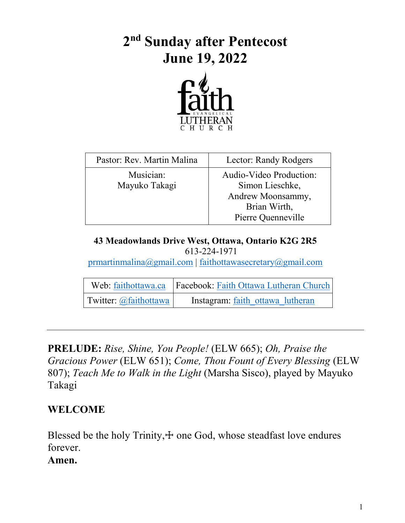# **2 nd Sunday after Pentecost June 19, 2022**



| Pastor: Rev. Martin Malina | Lector: Randy Rodgers                                                                                 |
|----------------------------|-------------------------------------------------------------------------------------------------------|
| Musician:<br>Mayuko Takagi | Audio-Video Production:<br>Simon Lieschke,<br>Andrew Moonsammy,<br>Brian Wirth,<br>Pierre Quenneville |

#### **43 Meadowlands Drive West, Ottawa, Ontario K2G 2R5** 613-224-1971

[prmartinmalina@gmail.com](mailto:prmartinmalina@gmail.com) | [faithottawasecretary@gmail.com](mailto:faithottawasecretary@gmail.com)

|                       | Web: faithottawa.ca   Facebook: Faith Ottawa Lutheran Church |
|-----------------------|--------------------------------------------------------------|
| Twitter: @faithottawa | Instagram: faith ottawa lutheran                             |

**PRELUDE:** *Rise, Shine, You People!* (ELW 665); *Oh, Praise the Gracious Power* (ELW 651); *Come, Thou Fount of Every Blessing* (ELW 807); *Teach Me to Walk in the Light* (Marsha Sisco), played by Mayuko Takagi

### **WELCOME**

Blessed be the holy Trinity, $+$  one God, whose steadfast love endures forever.

#### **Amen.**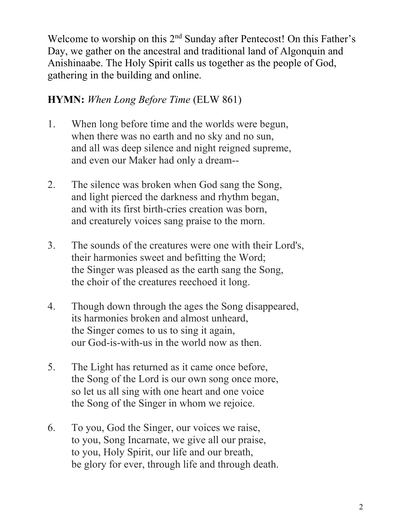Welcome to worship on this  $2<sup>nd</sup>$  Sunday after Pentecost! On this Father's Day, we gather on the ancestral and traditional land of Algonquin and Anishinaabe. The Holy Spirit calls us together as the people of God, gathering in the building and online.

# **HYMN:** *When Long Before Time* (ELW 861)

- 1. When long before time and the worlds were begun, when there was no earth and no sky and no sun, and all was deep silence and night reigned supreme, and even our Maker had only a dream--
- 2. The silence was broken when God sang the Song, and light pierced the darkness and rhythm began, and with its first birth-cries creation was born, and creaturely voices sang praise to the morn.
- 3. The sounds of the creatures were one with their Lord's, their harmonies sweet and befitting the Word; the Singer was pleased as the earth sang the Song, the choir of the creatures reechoed it long.
- 4. Though down through the ages the Song disappeared, its harmonies broken and almost unheard, the Singer comes to us to sing it again, our God-is-with-us in the world now as then.
- 5. The Light has returned as it came once before, the Song of the Lord is our own song once more, so let us all sing with one heart and one voice the Song of the Singer in whom we rejoice.
- 6. To you, God the Singer, our voices we raise, to you, Song Incarnate, we give all our praise, to you, Holy Spirit, our life and our breath, be glory for ever, through life and through death.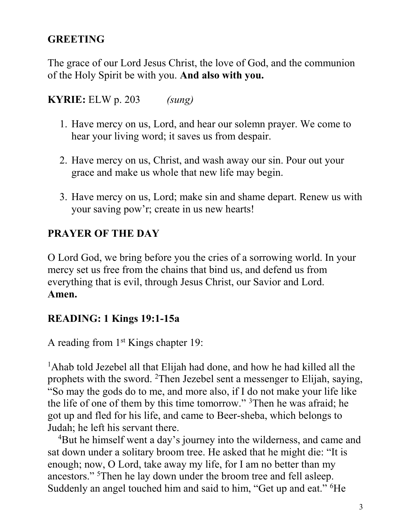# **GREETING**

The grace of our Lord Jesus Christ, the love of God, and the communion of the Holy Spirit be with you. **And also with you.**

**KYRIE:** ELW p. 203 *(sung)*

- 1. Have mercy on us, Lord, and hear our solemn prayer. We come to hear your living word; it saves us from despair.
- 2. Have mercy on us, Christ, and wash away our sin. Pour out your grace and make us whole that new life may begin.
- 3. Have mercy on us, Lord; make sin and shame depart. Renew us with your saving pow'r; create in us new hearts!

# **PRAYER OF THE DAY**

O Lord God, we bring before you the cries of a sorrowing world. In your mercy set us free from the chains that bind us, and defend us from everything that is evil, through Jesus Christ, our Savior and Lord. **Amen.**

### **READING: 1 Kings 19:1-15a**

A reading from 1<sup>st</sup> Kings chapter 19:

<sup>1</sup>Ahab told Jezebel all that Elijah had done, and how he had killed all the prophets with the sword. <sup>2</sup>Then Jezebel sent a messenger to Elijah, saying, "So may the gods do to me, and more also, if I do not make your life like the life of one of them by this time tomorrow." <sup>3</sup>Then he was afraid; he got up and fled for his life, and came to Beer-sheba, which belongs to Judah; he left his servant there.

<sup>4</sup>But he himself went a day's journey into the wilderness, and came and sat down under a solitary broom tree. He asked that he might die: "It is enough; now, O Lord, take away my life, for I am no better than my ancestors." <sup>5</sup>Then he lay down under the broom tree and fell asleep. Suddenly an angel touched him and said to him, "Get up and eat." <sup>6</sup>He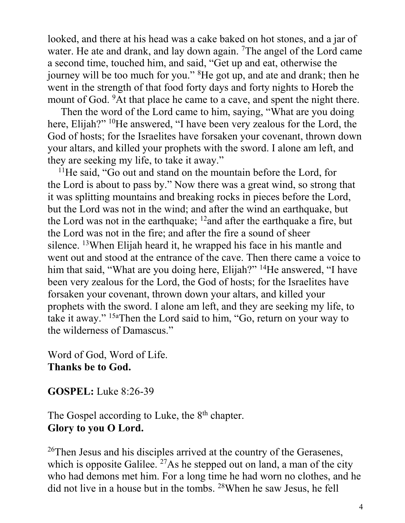looked, and there at his head was a cake baked on hot stones, and a jar of water. He ate and drank, and lay down again. <sup>7</sup>The angel of the Lord came a second time, touched him, and said, "Get up and eat, otherwise the journey will be too much for you." <sup>8</sup>He got up, and ate and drank; then he went in the strength of that food forty days and forty nights to Horeb the mount of God. <sup>9</sup>At that place he came to a cave, and spent the night there.

Then the word of the Lord came to him, saying, "What are you doing here, Elijah?" <sup>10</sup>He answered, "I have been very zealous for the Lord, the God of hosts; for the Israelites have forsaken your covenant, thrown down your altars, and killed your prophets with the sword. I alone am left, and they are seeking my life, to take it away."

<sup>11</sup>He said, "Go out and stand on the mountain before the Lord, for the Lord is about to pass by." Now there was a great wind, so strong that it was splitting mountains and breaking rocks in pieces before the Lord, but the Lord was not in the wind; and after the wind an earthquake, but the Lord was not in the earthquake;  $12$  and after the earthquake a fire, but the Lord was not in the fire; and after the fire a sound of sheer silence. <sup>13</sup>When Elijah heard it, he wrapped his face in his mantle and went out and stood at the entrance of the cave. Then there came a voice to him that said, "What are you doing here, Elijah?" <sup>14</sup>He answered, "I have been very zealous for the Lord, the God of hosts; for the Israelites have forsaken your covenant, thrown down your altars, and killed your prophets with the sword. I alone am left, and they are seeking my life, to take it away." 15aThen the Lord said to him, "Go, return on your way to the wilderness of Damascus."

Word of God, Word of Life. **Thanks be to God.**

**GOSPEL:** Luke 8:26-39

The Gospel according to Luke, the 8<sup>th</sup> chapter. **Glory to you O Lord.**

<sup>26</sup>Then Jesus and his disciples arrived at the country of the Gerasenes, which is opposite Galilee.  $27\text{As}$  he stepped out on land, a man of the city who had demons met him. For a long time he had worn no clothes, and he did not live in a house but in the tombs. <sup>28</sup>When he saw Jesus, he fell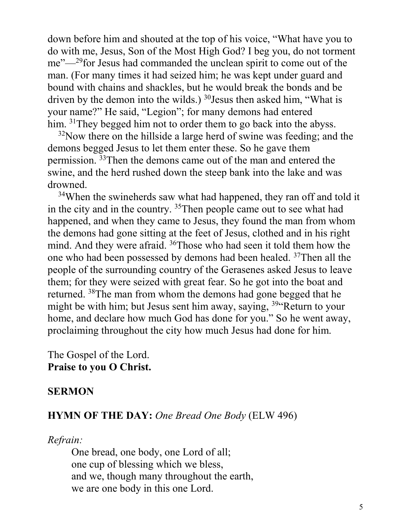down before him and shouted at the top of his voice, "What have you to do with me, Jesus, Son of the Most High God? I beg you, do not torment me"—<sup>29</sup>for Jesus had commanded the unclean spirit to come out of the man. (For many times it had seized him; he was kept under guard and bound with chains and shackles, but he would break the bonds and be driven by the demon into the wilds.)  $30$  Jesus then asked him, "What is your name?" He said, "Legion"; for many demons had entered him. <sup>31</sup>They begged him not to order them to go back into the abyss.

 $32$ Now there on the hillside a large herd of swine was feeding; and the demons begged Jesus to let them enter these. So he gave them permission. <sup>33</sup>Then the demons came out of the man and entered the swine, and the herd rushed down the steep bank into the lake and was drowned.

<sup>34</sup>When the swineherds saw what had happened, they ran off and told it in the city and in the country. <sup>35</sup>Then people came out to see what had happened, and when they came to Jesus, they found the man from whom the demons had gone sitting at the feet of Jesus, clothed and in his right mind. And they were afraid. <sup>36</sup>Those who had seen it told them how the one who had been possessed by demons had been healed. <sup>37</sup>Then all the people of the surrounding country of the Gerasenes asked Jesus to leave them; for they were seized with great fear. So he got into the boat and returned. <sup>38</sup>The man from whom the demons had gone begged that he might be with him; but Jesus sent him away, saying, <sup>39"</sup>Return to your home, and declare how much God has done for you." So he went away, proclaiming throughout the city how much Jesus had done for him.

The Gospel of the Lord. **Praise to you O Christ.**

#### **SERMON**

#### **HYMN OF THE DAY:** *One Bread One Body* (ELW 496)

#### *Refrain:*

One bread, one body, one Lord of all; one cup of blessing which we bless, and we, though many throughout the earth, we are one body in this one Lord.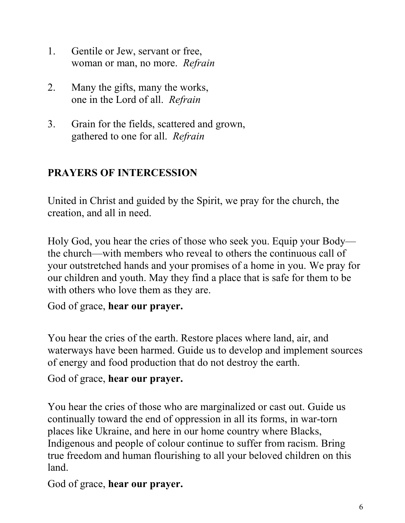- 1. Gentile or Jew, servant or free, woman or man, no more. *Refrain*
- 2. Many the gifts, many the works, one in the Lord of all. *Refrain*
- 3. Grain for the fields, scattered and grown, gathered to one for all. *Refrain*

# **PRAYERS OF INTERCESSION**

United in Christ and guided by the Spirit, we pray for the church, the creation, and all in need.

Holy God, you hear the cries of those who seek you. Equip your Body the church—with members who reveal to others the continuous call of your outstretched hands and your promises of a home in you. We pray for our children and youth. May they find a place that is safe for them to be with others who love them as they are.

God of grace, **hear our prayer.**

You hear the cries of the earth. Restore places where land, air, and waterways have been harmed. Guide us to develop and implement sources of energy and food production that do not destroy the earth.

God of grace, **hear our prayer.**

You hear the cries of those who are marginalized or cast out. Guide us continually toward the end of oppression in all its forms, in war-torn places like Ukraine, and here in our home country where Blacks, Indigenous and people of colour continue to suffer from racism. Bring true freedom and human flourishing to all your beloved children on this land.

God of grace, **hear our prayer.**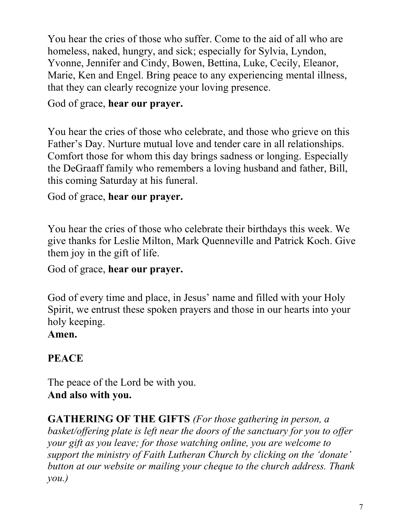You hear the cries of those who suffer. Come to the aid of all who are homeless, naked, hungry, and sick; especially for Sylvia, Lyndon, Yvonne, Jennifer and Cindy, Bowen, Bettina, Luke, Cecily, Eleanor, Marie, Ken and Engel. Bring peace to any experiencing mental illness, that they can clearly recognize your loving presence.

### God of grace, **hear our prayer.**

You hear the cries of those who celebrate, and those who grieve on this Father's Day. Nurture mutual love and tender care in all relationships. Comfort those for whom this day brings sadness or longing. Especially the DeGraaff family who remembers a loving husband and father, Bill, this coming Saturday at his funeral.

### God of grace, **hear our prayer.**

You hear the cries of those who celebrate their birthdays this week. We give thanks for Leslie Milton, Mark Quenneville and Patrick Koch. Give them joy in the gift of life.

### God of grace, **hear our prayer.**

God of every time and place, in Jesus' name and filled with your Holy Spirit, we entrust these spoken prayers and those in our hearts into your holy keeping.

### **Amen.**

## **PEACE**

The peace of the Lord be with you. **And also with you.**

**GATHERING OF THE GIFTS** *(For those gathering in person, a basket/offering plate is left near the doors of the sanctuary for you to offer your gift as you leave; for those watching online, you are welcome to support the ministry of Faith Lutheran Church by clicking on the 'donate' button at our website or mailing your cheque to the church address. Thank you.)*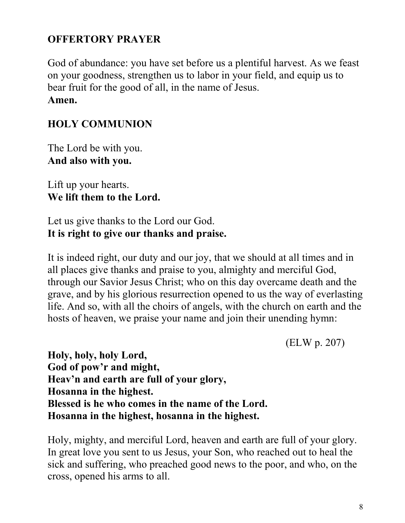# **OFFERTORY PRAYER**

God of abundance: you have set before us a plentiful harvest. As we feast on your goodness, strengthen us to labor in your field, and equip us to bear fruit for the good of all, in the name of Jesus. **Amen.**

# **HOLY COMMUNION**

The Lord be with you. **And also with you.**

Lift up your hearts. **We lift them to the Lord.**

Let us give thanks to the Lord our God. **It is right to give our thanks and praise.**

It is indeed right, our duty and our joy, that we should at all times and in all places give thanks and praise to you, almighty and merciful God, through our Savior Jesus Christ; who on this day overcame death and the grave, and by his glorious resurrection opened to us the way of everlasting life. And so, with all the choirs of angels, with the church on earth and the hosts of heaven, we praise your name and join their unending hymn:

(ELW p. 207)

**Holy, holy, holy Lord, God of pow'r and might, Heav'n and earth are full of your glory, Hosanna in the highest. Blessed is he who comes in the name of the Lord. Hosanna in the highest, hosanna in the highest.**

Holy, mighty, and merciful Lord, heaven and earth are full of your glory. In great love you sent to us Jesus, your Son, who reached out to heal the sick and suffering, who preached good news to the poor, and who, on the cross, opened his arms to all.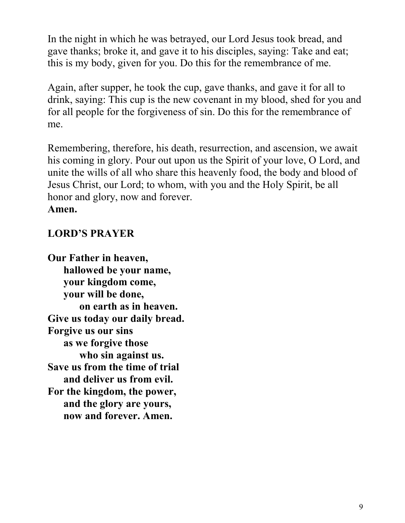In the night in which he was betrayed, our Lord Jesus took bread, and gave thanks; broke it, and gave it to his disciples, saying: Take and eat; this is my body, given for you. Do this for the remembrance of me.

Again, after supper, he took the cup, gave thanks, and gave it for all to drink, saying: This cup is the new covenant in my blood, shed for you and for all people for the forgiveness of sin. Do this for the remembrance of me.

Remembering, therefore, his death, resurrection, and ascension, we await his coming in glory. Pour out upon us the Spirit of your love, O Lord, and unite the wills of all who share this heavenly food, the body and blood of Jesus Christ, our Lord; to whom, with you and the Holy Spirit, be all honor and glory, now and forever. **Amen.**

## **LORD'S PRAYER**

**Our Father in heaven, hallowed be your name, your kingdom come, your will be done, on earth as in heaven. Give us today our daily bread. Forgive us our sins as we forgive those who sin against us. Save us from the time of trial and deliver us from evil. For the kingdom, the power, and the glory are yours, now and forever. Amen.**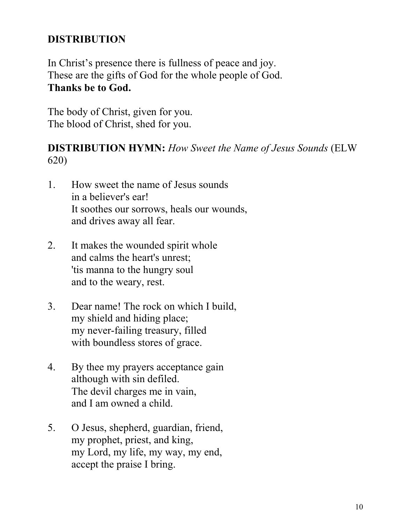# **DISTRIBUTION**

In Christ's presence there is fullness of peace and joy. These are the gifts of God for the whole people of God. **Thanks be to God.**

The body of Christ, given for you. The blood of Christ, shed for you.

### **DISTRIBUTION HYMN:** *How Sweet the Name of Jesus Sounds* (ELW 620)

- 1. How sweet the name of Jesus sounds in a believer's ear! It soothes our sorrows, heals our wounds, and drives away all fear.
- 2. It makes the wounded spirit whole and calms the heart's unrest; 'tis manna to the hungry soul and to the weary, rest.
- 3. Dear name! The rock on which I build, my shield and hiding place; my never-failing treasury, filled with boundless stores of grace.
- 4. By thee my prayers acceptance gain although with sin defiled. The devil charges me in vain, and I am owned a child.
- 5. O Jesus, shepherd, guardian, friend, my prophet, priest, and king, my Lord, my life, my way, my end, accept the praise I bring.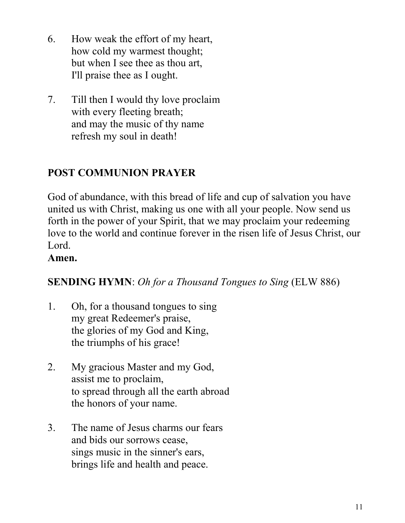- 6. How weak the effort of my heart, how cold my warmest thought; but when I see thee as thou art, I'll praise thee as I ought.
- 7. Till then I would thy love proclaim with every fleeting breath; and may the music of thy name refresh my soul in death!

# **POST COMMUNION PRAYER**

God of abundance, with this bread of life and cup of salvation you have united us with Christ, making us one with all your people. Now send us forth in the power of your Spirit, that we may proclaim your redeeming love to the world and continue forever in the risen life of Jesus Christ, our Lord.

### **Amen.**

### **SENDING HYMN**: *Oh for a Thousand Tongues to Sing* (ELW 886)

- 1. Oh, for a thousand tongues to sing my great Redeemer's praise, the glories of my God and King, the triumphs of his grace!
- 2. My gracious Master and my God, assist me to proclaim, to spread through all the earth abroad the honors of your name.
- 3. The name of Jesus charms our fears and bids our sorrows cease, sings music in the sinner's ears, brings life and health and peace.